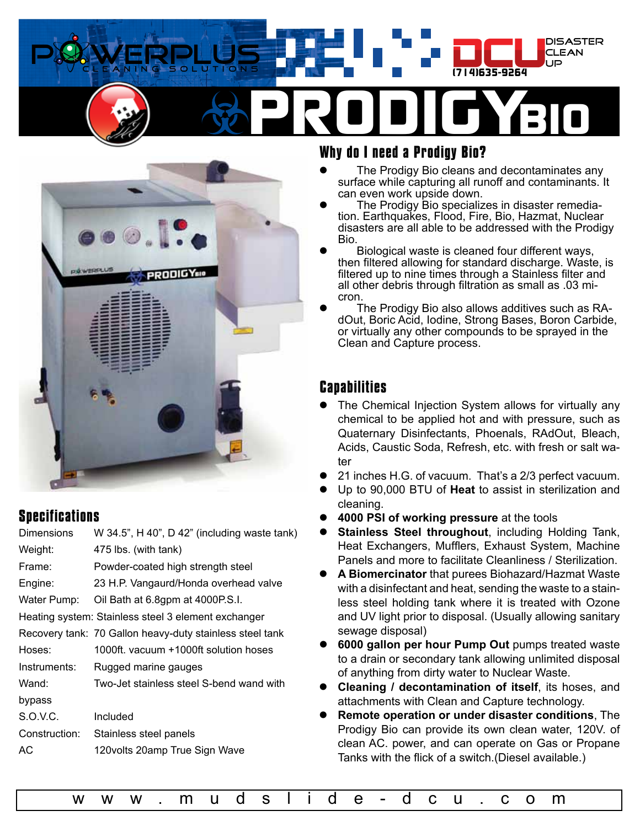



# **Specifications**

| <b>Dimensions</b> | W 34.5", H 40", D 42" (including waste tank)             |
|-------------------|----------------------------------------------------------|
| Weight:           | 475 lbs. (with tank)                                     |
| Frame:            | Powder-coated high strength steel                        |
| Engine:           | 23 H.P. Vangaurd/Honda overhead valve                    |
| Water Pump:       | Oil Bath at 6.8gpm at 4000P.S.I.                         |
|                   | Heating system: Stainless steel 3 element exchanger      |
|                   | Recovery tank: 70 Gallon heavy-duty stainless steel tank |
| Hoses:            | 1000ft. vacuum +1000ft solution hoses                    |
| Instruments:      | Rugged marine gauges                                     |
| Wand:             | Two-Jet stainless steel S-bend wand with                 |
| bypass            |                                                          |
| S.O.V.C.          | Included                                                 |
| Construction:     | Stainless steel panels                                   |
| АC                | 120 volts 20 amp True Sign Wave                          |
|                   |                                                          |

# **Why do I need a Prodigy Bio?**

- The Prodigy Bio cleans and decontaminates any surface while capturing all runoff and contaminants. It can even work upside down.
- The Prodigy Bio specializes in disaster remediation. Earthquakes, Flood, Fire, Bio, Hazmat, Nuclear disasters are all able to be addressed with the Prodigy Bio.
- Biological waste is cleaned four different ways, then filtered allowing for standard discharge. Waste, is filtered up to nine times through a Stainless filter and all other debris through filtration as small as .03 micron.
- The Prodigy Bio also allows additives such as RAdOut, Boric Acid, Iodine, Strong Bases, Boron Carbide, or virtually any other compounds to be sprayed in the Clean and Capture process.

# **Capabilities**

- The Chemical Injection System allows for virtually any chemical to be applied hot and with pressure, such as Quaternary Disinfectants, Phoenals, RAdOut, Bleach, Acids, Caustic Soda, Refresh, etc. with fresh or salt water
- 21 inches H.G. of vacuum. That's a 2/3 perfect vacuum.
- z Up to 90,000 BTU of **Heat** to assist in sterilization and cleaning.
- z **4000 PSI of working pressure** at the tools
- **Stainless Steel throughout, including Holding Tank,** Heat Exchangers, Mufflers, Exhaust System, Machine Panels and more to facilitate Cleanliness / Sterilization.
- z **A Biomercinator** that purees Biohazard/Hazmat Waste with a disinfectant and heat, sending the waste to a stainless steel holding tank where it is treated with Ozone and UV light prior to disposal. (Usually allowing sanitary sewage disposal)
- z **6000 gallon per hour Pump Out** pumps treated waste to a drain or secondary tank allowing unlimited disposal of anything from dirty water to Nuclear Waste.
- z **Cleaning / decontamination of itself**, its hoses, and attachments with Clean and Capture technology.
- z **Remote operation or under disaster conditions**, The Prodigy Bio can provide its own clean water, 120V. of clean AC. power, and can operate on Gas or Propane Tanks with the flick of a switch.(Diesel available.)

[w w w . m u d s l i d e - d c u . c o m](http://www.mudslide-dcu.com
)